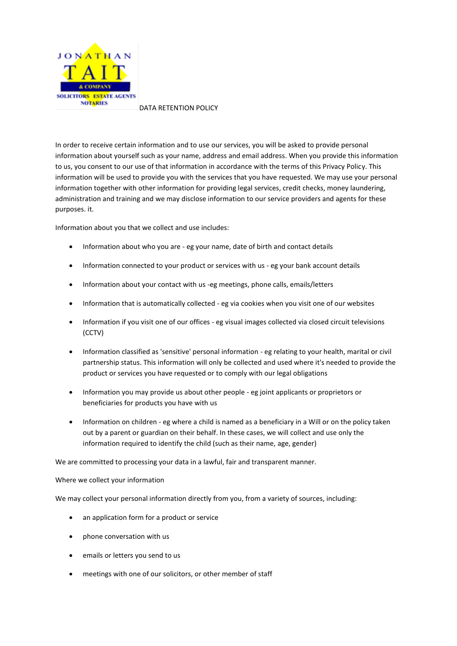

DATA RETENTION POLICY

In order to receive certain information and to use our services, you will be asked to provide personal information about yourself such as your name, address and email address. When you provide this information to us, you consent to our use of that information in accordance with the terms of this Privacy Policy. This information will be used to provide you with the services that you have requested. We may use your personal information together with other information for providing legal services, credit checks, money laundering, administration and training and we may disclose information to our service providers and agents for these purposes. it.

Information about you that we collect and use includes:

- Information about who you are eg your name, date of birth and contact details
- Information connected to your product or services with us eg your bank account details
- Information about your contact with us -eg meetings, phone calls, emails/letters
- Information that is automatically collected eg via cookies when you visit one of our websites
- Information if you visit one of our offices eg visual images collected via closed circuit televisions (CCTV)
- Information classified as 'sensitive' personal information eg relating to your health, marital or civil partnership status. This information will only be collected and used where it's needed to provide the product or services you have requested or to comply with our legal obligations
- Information you may provide us about other people eg joint applicants or proprietors or beneficiaries for products you have with us
- Information on children eg where a child is named as a beneficiary in a Will or on the policy taken out by a parent or guardian on their behalf. In these cases, we will collect and use only the information required to identify the child (such as their name, age, gender)

We are committed to processing your data in a lawful, fair and transparent manner.

# Where we collect your information

We may collect your personal information directly from you, from a variety of sources, including:

- an application form for a product or service
- phone conversation with us
- emails or letters you send to us
- meetings with one of our solicitors, or other member of staff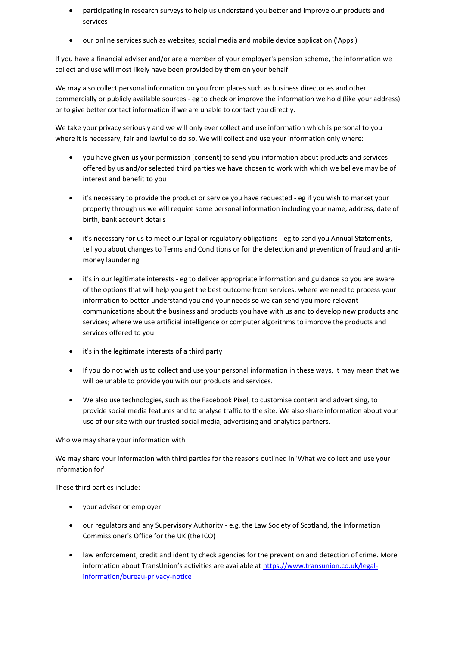- participating in research surveys to help us understand you better and improve our products and services
- our online services such as websites, social media and mobile device application ('Apps')

If you have a financial adviser and/or are a member of your employer's pension scheme, the information we collect and use will most likely have been provided by them on your behalf.

We may also collect personal information on you from places such as business directories and other commercially or publicly available sources - eg to check or improve the information we hold (like your address) or to give better contact information if we are unable to contact you directly.

We take your privacy seriously and we will only ever collect and use information which is personal to you where it is necessary, fair and lawful to do so. We will collect and use your information only where:

- you have given us your permission [consent] to send you information about products and services offered by us and/or selected third parties we have chosen to work with which we believe may be of interest and benefit to you
- it's necessary to provide the product or service you have requested eg if you wish to market your property through us we will require some personal information including your name, address, date of birth, bank account details
- it's necessary for us to meet our legal or regulatory obligations eg to send you Annual Statements, tell you about changes to Terms and Conditions or for the detection and prevention of fraud and antimoney laundering
- it's in our legitimate interests eg to deliver appropriate information and guidance so you are aware of the options that will help you get the best outcome from services; where we need to process your information to better understand you and your needs so we can send you more relevant communications about the business and products you have with us and to develop new products and services; where we use artificial intelligence or computer algorithms to improve the products and services offered to you
- it's in the legitimate interests of a third party
- If you do not wish us to collect and use your personal information in these ways, it may mean that we will be unable to provide you with our products and services.
- We also use technologies, such as the Facebook Pixel, to customise content and advertising, to provide social media features and to analyse traffic to the site. We also share information about your use of our site with our trusted social media, advertising and analytics partners.

# Who we may share your information with

We may share your information with third parties for the reasons outlined in 'What we collect and use your information for'

These third parties include:

- your adviser or employer
- our regulators and any Supervisory Authority e.g. the Law Society of Scotland, the Information Commissioner's Office for the UK (the ICO)
- law enforcement, credit and identity check agencies for the prevention and detection of crime. More information about TransUnion's activities are available at [https://www.transunion.co.uk/legal](https://www.transunion.co.uk/legal-information/bureau-privacy-notice)[information/bureau-privacy-notice](https://www.transunion.co.uk/legal-information/bureau-privacy-notice)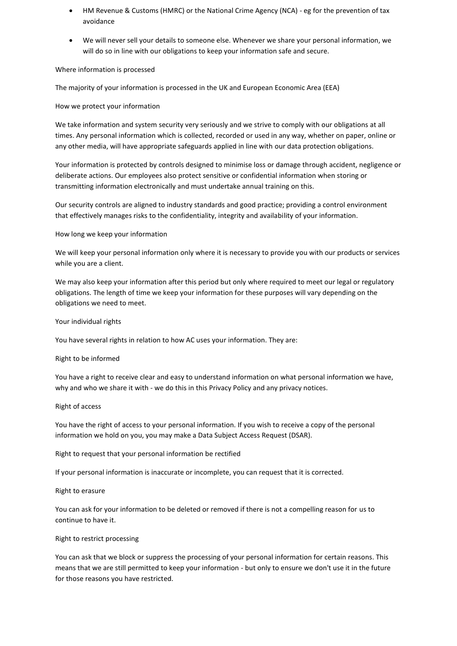- HM Revenue & Customs (HMRC) or the National Crime Agency (NCA) eg for the prevention of tax avoidance
- We will never sell your details to someone else. Whenever we share your personal information, we will do so in line with our obligations to keep your information safe and secure.

### Where information is processed

The majority of your information is processed in the UK and European Economic Area (EEA)

### How we protect your information

We take information and system security very seriously and we strive to comply with our obligations at all times. Any personal information which is collected, recorded or used in any way, whether on paper, online or any other media, will have appropriate safeguards applied in line with our data protection obligations.

Your information is protected by controls designed to minimise loss or damage through accident, negligence or deliberate actions. Our employees also protect sensitive or confidential information when storing or transmitting information electronically and must undertake annual training on this.

Our security controls are aligned to industry standards and good practice; providing a control environment that effectively manages risks to the confidentiality, integrity and availability of your information.

#### How long we keep your information

We will keep your personal information only where it is necessary to provide you with our products or services while you are a client.

We may also keep your information after this period but only where required to meet our legal or regulatory obligations. The length of time we keep your information for these purposes will vary depending on the obligations we need to meet.

#### Your individual rights

You have several rights in relation to how AC uses your information. They are:

#### Right to be informed

You have a right to receive clear and easy to understand information on what personal information we have, why and who we share it with - we do this in this Privacy Policy and any privacy notices.

#### Right of access

You have the right of access to your personal information. If you wish to receive a copy of the personal information we hold on you, you may make a Data Subject Access Request (DSAR).

Right to request that your personal information be rectified

If your personal information is inaccurate or incomplete, you can request that it is corrected.

#### Right to erasure

You can ask for your information to be deleted or removed if there is not a compelling reason for us to continue to have it.

### Right to restrict processing

You can ask that we block or suppress the processing of your personal information for certain reasons. This means that we are still permitted to keep your information - but only to ensure we don't use it in the future for those reasons you have restricted.